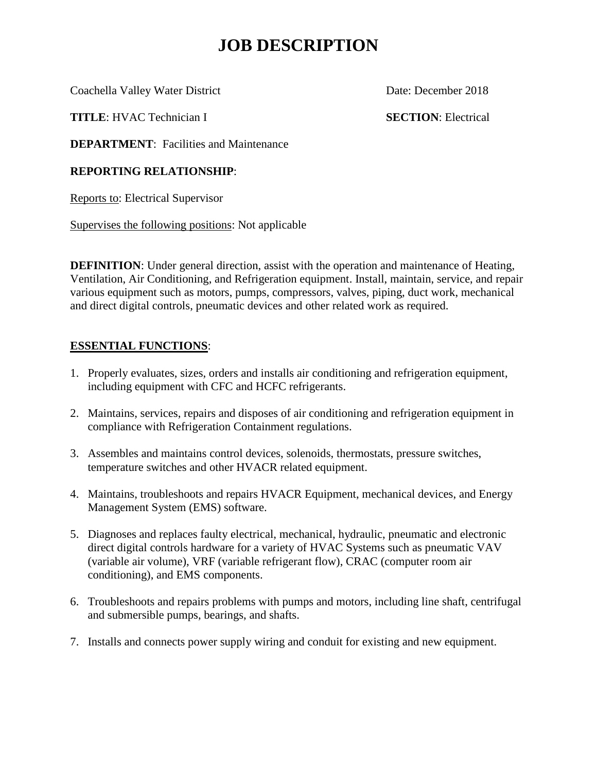# **JOB DESCRIPTION**

Coachella Valley Water District Date: December 2018

**TITLE**: HVAC Technician I **SECTION**: Electrical

**DEPARTMENT:** Facilities and Maintenance

## **REPORTING RELATIONSHIP**:

Reports to: Electrical Supervisor

Supervises the following positions: Not applicable

**DEFINITION**: Under general direction, assist with the operation and maintenance of Heating, Ventilation, Air Conditioning, and Refrigeration equipment. Install, maintain, service, and repair various equipment such as motors, pumps, compressors, valves, piping, duct work, mechanical and direct digital controls, pneumatic devices and other related work as required.

## **ESSENTIAL FUNCTIONS**:

- 1. Properly evaluates, sizes, orders and installs air conditioning and refrigeration equipment, including equipment with CFC and HCFC refrigerants.
- 2. Maintains, services, repairs and disposes of air conditioning and refrigeration equipment in compliance with Refrigeration Containment regulations.
- 3. Assembles and maintains control devices, solenoids, thermostats, pressure switches, temperature switches and other HVACR related equipment.
- 4. Maintains, troubleshoots and repairs HVACR Equipment, mechanical devices, and Energy Management System (EMS) software.
- 5. Diagnoses and replaces faulty electrical, mechanical, hydraulic, pneumatic and electronic direct digital controls hardware for a variety of HVAC Systems such as pneumatic VAV (variable air volume), VRF (variable refrigerant flow), CRAC (computer room air conditioning), and EMS components.
- 6. Troubleshoots and repairs problems with pumps and motors, including line shaft, centrifugal and submersible pumps, bearings, and shafts.
- 7. Installs and connects power supply wiring and conduit for existing and new equipment.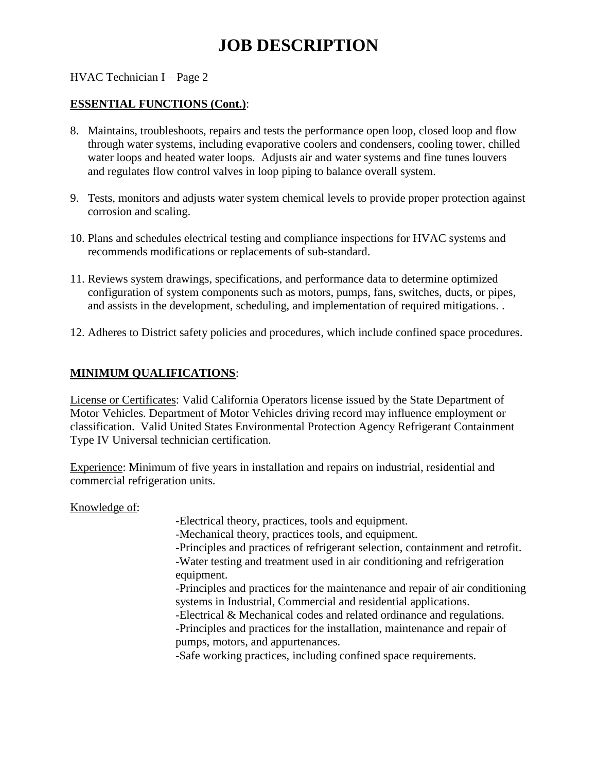# **JOB DESCRIPTION**

HVAC Technician I – Page 2

### **ESSENTIAL FUNCTIONS (Cont.)**:

- 8. Maintains, troubleshoots, repairs and tests the performance open loop, closed loop and flow through water systems, including evaporative coolers and condensers, cooling tower, chilled water loops and heated water loops. Adjusts air and water systems and fine tunes louvers and regulates flow control valves in loop piping to balance overall system.
- 9. Tests, monitors and adjusts water system chemical levels to provide proper protection against corrosion and scaling.
- 10. Plans and schedules electrical testing and compliance inspections for HVAC systems and recommends modifications or replacements of sub-standard.
- 11. Reviews system drawings, specifications, and performance data to determine optimized configuration of system components such as motors, pumps, fans, switches, ducts, or pipes, and assists in the development, scheduling, and implementation of required mitigations. .
- 12. Adheres to District safety policies and procedures, which include confined space procedures.

### **MINIMUM QUALIFICATIONS**:

License or Certificates: Valid California Operators license issued by the State Department of Motor Vehicles. Department of Motor Vehicles driving record may influence employment or classification. Valid United States Environmental Protection Agency Refrigerant Containment Type IV Universal technician certification.

Experience: Minimum of five years in installation and repairs on industrial, residential and commercial refrigeration units.

Knowledge of:

 -Electrical theory, practices, tools and equipment. -Mechanical theory, practices tools, and equipment. -Principles and practices of refrigerant selection, containment and retrofit. -Water testing and treatment used in air conditioning and refrigeration equipment. -Principles and practices for the maintenance and repair of air conditioning systems in Industrial, Commercial and residential applications. -Electrical & Mechanical codes and related ordinance and regulations. -Principles and practices for the installation, maintenance and repair of pumps, motors, and appurtenances. -Safe working practices, including confined space requirements.